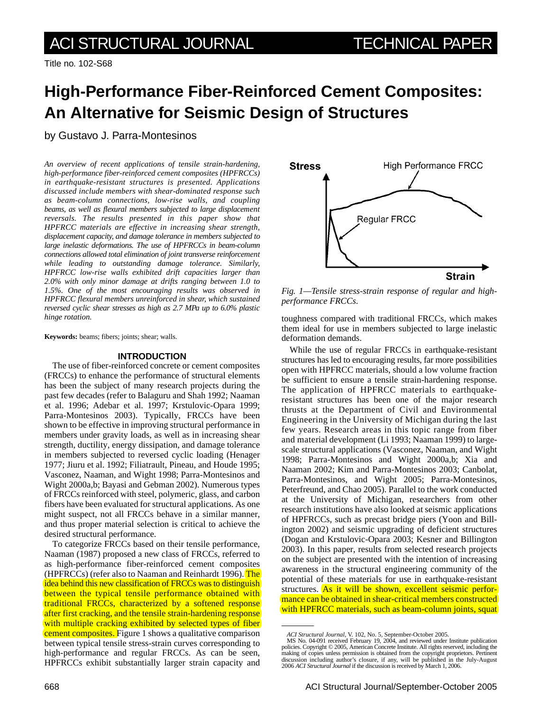Title no. 102-S68

# **High-Performance Fiber-Reinforced Cement Composites: An Alternative for Seismic Design of Structures**

by Gustavo J. Parra-Montesinos

*An overview of recent applications of tensile strain-hardening, high-performance fiber-reinforced cement composites (HPFRCCs) in earthquake-resistant structures is presented. Applications discussed include members with shear-dominated response such as beam-column connections, low-rise walls, and coupling beams, as well as flexural members subjected to large displacement reversals. The results presented in this paper show that HPFRCC materials are effective in increasing shear strength, displacement capacity, and damage tolerance in members subjected to large inelastic deformations. The use of HPFRCCs in beam-column connections allowed total elimination of joint transverse reinforcement while leading to outstanding damage tolerance. Similarly, HPFRCC low-rise walls exhibited drift capacities larger than 2.0% with only minor damage at drifts ranging between 1.0 to 1.5%. One of the most encouraging results was observed in HPFRCC flexural members unreinforced in shear, which sustained reversed cyclic shear stresses as high as 2.7 MPa up to 6.0% plastic hinge rotation.*

**Keywords:** beams; fibers; joints; shear; walls.

## **INTRODUCTION**

The use of fiber-reinforced concrete or cement composites (FRCCs) to enhance the performance of structural elements has been the subject of many research projects during the past few decades (refer to Balaguru and Shah 1992; Naaman et al. 1996; Adebar et al. 1997; Krstulovic-Opara 1999; Parra-Montesinos 2003). Typically, FRCCs have been shown to be effective in improving structural performance in members under gravity loads, as well as in increasing shear strength, ductility, energy dissipation, and damage tolerance in members subjected to reversed cyclic loading (Henager 1977; Jiuru et al. 1992; Filiatrault, Pineau, and Houde 1995; Vasconez, Naaman, and Wight 1998; Parra-Montesinos and Wight 2000a,b; Bayasi and Gebman 2002). Numerous types of FRCCs reinforced with steel, polymeric, glass, and carbon fibers have been evaluated for structural applications. As one might suspect, not all FRCCs behave in a similar manner, and thus proper material selection is critical to achieve the desired structural performance.

To categorize FRCCs based on their tensile performance, Naaman (1987) proposed a new class of FRCCs, referred to as high-performance fiber-reinforced cement composites (HPFRCCs) (refer also to Naaman and Reinhardt 1996). The idea behind this new classification of FRCCs was to distinguish between the typical tensile performance obtained with traditional FRCCs, characterized by a softened response after first cracking, and the tensile strain-hardening response with multiple cracking exhibited by selected types of fiber cement composites. Figure 1 shows a qualitative comparison between typical tensile stress-strain curves corresponding to high-performance and regular FRCCs. As can be seen, HPFRCCs exhibit substantially larger strain capacity and



*Fig. 1—Tensile stress-strain response of regular and highperformance FRCCs.*

toughness compared with traditional FRCCs, which makes them ideal for use in members subjected to large inelastic deformation demands.

While the use of regular FRCCs in earthquake-resistant structures has led to encouraging results, far more possibilities open with HPFRCC materials, should a low volume fraction be sufficient to ensure a tensile strain-hardening response. The application of HPFRCC materials to earthquakeresistant structures has been one of the major research thrusts at the Department of Civil and Environmental Engineering in the University of Michigan during the last few years. Research areas in this topic range from fiber and material development (Li 1993; Naaman 1999) to largescale structural applications (Vasconez, Naaman, and Wight 1998; Parra-Montesinos and Wight 2000a,b; Xia and Naaman 2002; Kim and Parra-Montesinos 2003; Canbolat, Parra-Montesinos, and Wight 2005; Parra-Montesinos, Peterfreund, and Chao 2005). Parallel to the work conducted at the University of Michigan, researchers from other research institutions have also looked at seismic applications of HPFRCCs, such as precast bridge piers (Yoon and Billington 2002) and seismic upgrading of deficient structures (Dogan and Krstulovic-Opara 2003; Kesner and Billington 2003). In this paper, results from selected research projects on the subject are presented with the intention of increasing awareness in the structural engineering community of the potential of these materials for use in earthquake-resistant structures. As it will be shown, excellent seismic performance can be obtained in shear-critical members constructed with HPFRCC materials, such as beam-column joints, squat

*ACI Structural Journal*, V. 102, No. 5, September-October 2005. MS No. 04-091 received February 19, 2004, and reviewed under Institute publication policies. Copyright © 2005, American Concrete Institute. All rights reserved, including the making of copies unless permission is obtained from the copyright proprietors. Pertinent discussion including author's closure, if any, will be published in the July-August 2006 *ACI Structural Journal* if the discussion is received by March 1, 2006.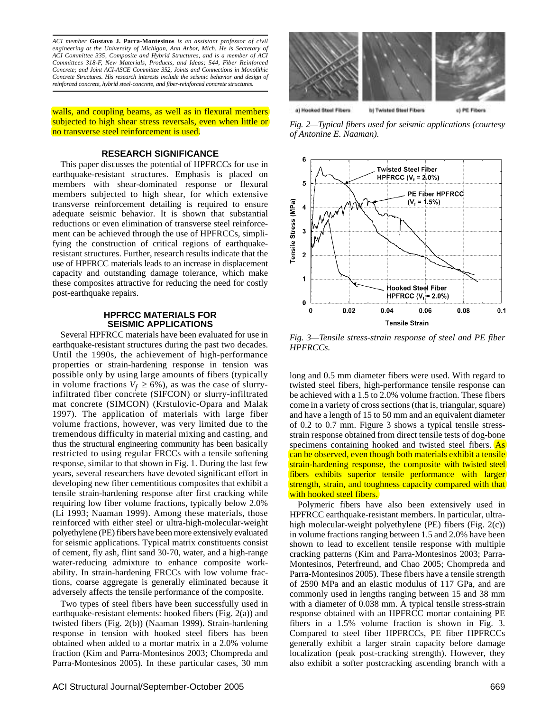*ACI member* **Gustavo J. Parra-Montesinos** *is an assistant professor of civil engineering at the University of Michigan, Ann Arbor, Mich. He is Secretary of ACI Committee 335, Composite and Hybrid Structures, and is a member of ACI Committees 318-F, New Materials, Products, and Ideas; 544, Fiber Reinforced Concrete; and Joint ACI-ASCE Committee 352, Joints and Connections in Monolithic Concrete Structures. His research interests include the seismic behavior and design of reinforced concrete, hybrid steel-concrete, and fiber-reinforced concrete structures.*

walls, and coupling beams, as well as in flexural members subjected to high shear stress reversals, even when little or no transverse steel reinforcement is used.

### **RESEARCH SIGNIFICANCE**

This paper discusses the potential of HPFRCCs for use in earthquake-resistant structures. Emphasis is placed on members with shear-dominated response or flexural members subjected to high shear, for which extensive transverse reinforcement detailing is required to ensure adequate seismic behavior. It is shown that substantial reductions or even elimination of transverse steel reinforcement can be achieved through the use of HPFRCCs, simplifying the construction of critical regions of earthquakeresistant structures. Further, research results indicate that the use of HPFRCC materials leads to an increase in displacement capacity and outstanding damage tolerance, which make these composites attractive for reducing the need for costly post-earthquake repairs.

# **HPFRCC MATERIALS FOR SEISMIC APPLICATIONS**

Several HPFRCC materials have been evaluated for use in earthquake-resistant structures during the past two decades. Until the 1990s, the achievement of high-performance properties or strain-hardening response in tension was possible only by using large amounts of fibers (typically in volume fractions  $V_f \ge 6\%$ ), as was the case of slurryinfiltrated fiber concrete (SIFCON) or slurry-infiltrated mat concrete (SIMCON) (Krstulovic-Opara and Malak 1997). The application of materials with large fiber volume fractions, however, was very limited due to the tremendous difficulty in material mixing and casting, and thus the structural engineering community has been basically restricted to using regular FRCCs with a tensile softening response, similar to that shown in Fig. 1. During the last few years, several researchers have devoted significant effort in developing new fiber cementitious composites that exhibit a tensile strain-hardening response after first cracking while requiring low fiber volume fractions, typically below 2.0% (Li 1993; Naaman 1999). Among these materials, those reinforced with either steel or ultra-high-molecular-weight polyethylene (PE) fibers have been more extensively evaluated for seismic applications. Typical matrix constituents consist of cement, fly ash, flint sand 30-70, water, and a high-range water-reducing admixture to enhance composite workability. In strain-hardening FRCCs with low volume fractions, coarse aggregate is generally eliminated because it adversely affects the tensile performance of the composite.

Two types of steel fibers have been successfully used in earthquake-resistant elements: hooked fibers (Fig. 2(a)) and twisted fibers (Fig. 2(b)) (Naaman 1999). Strain-hardening response in tension with hooked steel fibers has been obtained when added to a mortar matrix in a 2.0% volume fraction (Kim and Parra-Montesinos 2003; Chompreda and Parra-Montesinos 2005). In these particular cases, 30 mm



*Fig. 2—Typical fibers used for seismic applications (courtesy of Antonine E. Naaman).*



*Fig. 3—Tensile stress-strain response of steel and PE fiber HPFRCCs.*

long and 0.5 mm diameter fibers were used. With regard to twisted steel fibers, high-performance tensile response can be achieved with a 1.5 to 2.0% volume fraction. These fibers come in a variety of cross sections (that is, triangular, square) and have a length of 15 to 50 mm and an equivalent diameter of 0.2 to 0.7 mm. Figure 3 shows a typical tensile stressstrain response obtained from direct tensile tests of dog-bone specimens containing hooked and twisted steel fibers. As can be observed, even though both materials exhibit a tensile strain-hardening response, the composite with twisted steel fibers exhibits superior tensile performance with larger strength, strain, and toughness capacity compared with that with hooked steel fibers.

Polymeric fibers have also been extensively used in HPFRCC earthquake-resistant members. In particular, ultrahigh molecular-weight polyethylene (PE) fibers (Fig. 2(c)) in volume fractions ranging between 1.5 and 2.0% have been shown to lead to excellent tensile response with multiple cracking patterns (Kim and Parra-Montesinos 2003; Parra-Montesinos, Peterfreund, and Chao 2005; Chompreda and Parra-Montesinos 2005). These fibers have a tensile strength of 2590 MPa and an elastic modulus of 117 GPa, and are commonly used in lengths ranging between 15 and 38 mm with a diameter of 0.038 mm. A typical tensile stress-strain response obtained with an HPFRCC mortar containing PE fibers in a 1.5% volume fraction is shown in Fig. 3. Compared to steel fiber HPFRCCs, PE fiber HPFRCCs generally exhibit a larger strain capacity before damage localization (peak post-cracking strength). However, they also exhibit a softer postcracking ascending branch with a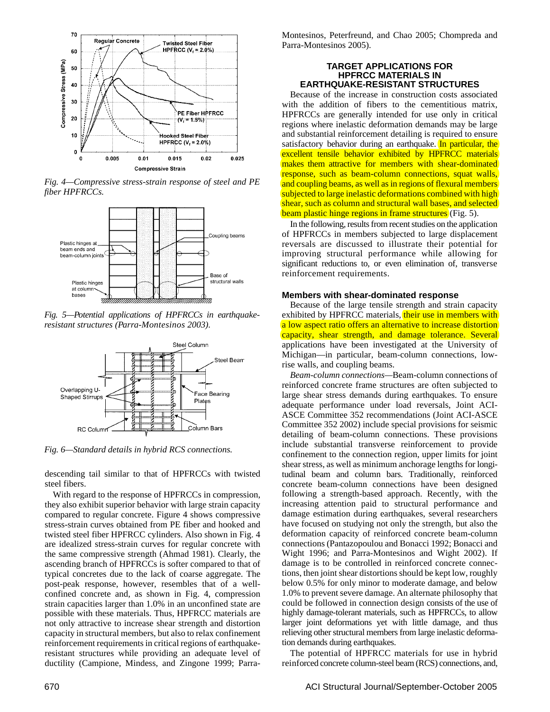

*Fig. 4—Compressive stress-strain response of steel and PE fiber HPFRCCs.*



*Fig. 5—Potential applications of HPFRCCs in earthquakeresistant structures (Parra-Montesinos 2003).*



*Fig. 6—Standard details in hybrid RCS connections.*

descending tail similar to that of HPFRCCs with twisted steel fibers.

With regard to the response of HPFRCCs in compression, they also exhibit superior behavior with large strain capacity compared to regular concrete. Figure 4 shows compressive stress-strain curves obtained from PE fiber and hooked and twisted steel fiber HPFRCC cylinders. Also shown in Fig. 4 are idealized stress-strain curves for regular concrete with the same compressive strength (Ahmad 1981). Clearly, the ascending branch of HPFRCCs is softer compared to that of typical concretes due to the lack of coarse aggregate. The post-peak response, however, resembles that of a wellconfined concrete and, as shown in Fig. 4, compression strain capacities larger than 1.0% in an unconfined state are possible with these materials. Thus, HPFRCC materials are not only attractive to increase shear strength and distortion capacity in structural members, but also to relax confinement reinforcement requirements in critical regions of earthquakeresistant structures while providing an adequate level of ductility (Campione, Mindess, and Zingone 1999; ParraMontesinos, Peterfreund, and Chao 2005; Chompreda and Parra-Montesinos 2005).

#### **TARGET APPLICATIONS FOR HPFRCC MATERIALS IN EARTHQUAKE-RESISTANT STRUCTURES**

Because of the increase in construction costs associated with the addition of fibers to the cementitious matrix, HPFRCCs are generally intended for use only in critical regions where inelastic deformation demands may be large and substantial reinforcement detailing is required to ensure satisfactory behavior during an earthquake. In particular, the excellent tensile behavior exhibited by HPFRCC materials makes them attractive for members with shear-dominated response, such as beam-column connections, squat walls, and coupling beams, as well as in regions of flexural members subjected to large inelastic deformations combined with high shear, such as column and structural wall bases, and selected beam plastic hinge regions in frame structures (Fig. 5).

In the following, results from recent studies on the application of HPFRCCs in members subjected to large displacement reversals are discussed to illustrate their potential for improving structural performance while allowing for significant reductions to, or even elimination of, transverse reinforcement requirements.

# **Members with shear-dominated response**

Because of the large tensile strength and strain capacity exhibited by HPFRCC materials, their use in members with a low aspect ratio offers an alternative to increase distortion capacity, shear strength, and damage tolerance. Several applications have been investigated at the University of Michigan—in particular, beam-column connections, lowrise walls, and coupling beams.

*Beam-column connections—*Beam-column connections of reinforced concrete frame structures are often subjected to large shear stress demands during earthquakes. To ensure adequate performance under load reversals, Joint ACI-ASCE Committee 352 recommendations (Joint ACI-ASCE Committee 352 2002) include special provisions for seismic detailing of beam-column connections. These provisions include substantial transverse reinforcement to provide confinement to the connection region, upper limits for joint shear stress, as well as minimum anchorage lengths for longitudinal beam and column bars. Traditionally, reinforced concrete beam-column connections have been designed following a strength-based approach. Recently, with the increasing attention paid to structural performance and damage estimation during earthquakes, several researchers have focused on studying not only the strength, but also the deformation capacity of reinforced concrete beam-column connections (Pantazopoulou and Bonacci 1992; Bonacci and Wight 1996; and Parra-Montesinos and Wight 2002). If damage is to be controlled in reinforced concrete connections, then joint shear distortions should be kept low, roughly below 0.5% for only minor to moderate damage, and below 1.0% to prevent severe damage. An alternate philosophy that could be followed in connection design consists of the use of highly damage-tolerant materials, such as HPFRCCs, to allow larger joint deformations yet with little damage, and thus relieving other structural members from large inelastic deformation demands during earthquakes.

The potential of HPFRCC materials for use in hybrid reinforced concrete column-steel beam (RCS) connections, and,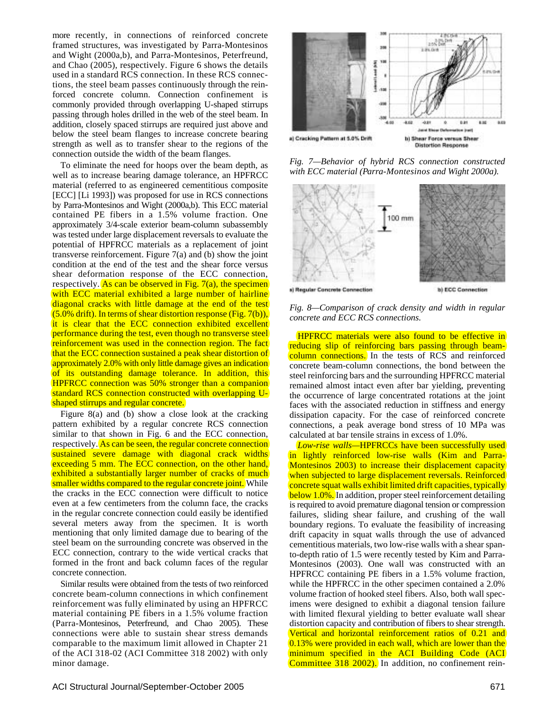more recently, in connections of reinforced concrete framed structures, was investigated by Parra-Montesinos and Wight (2000a,b), and Parra-Montesinos, Peterfreund, and Chao (2005), respectively. Figure 6 shows the details used in a standard RCS connection. In these RCS connections, the steel beam passes continuously through the reinforced concrete column. Connection confinement is commonly provided through overlapping U-shaped stirrups passing through holes drilled in the web of the steel beam. In addition, closely spaced stirrups are required just above and below the steel beam flanges to increase concrete bearing strength as well as to transfer shear to the regions of the connection outside the width of the beam flanges.

To eliminate the need for hoops over the beam depth, as well as to increase bearing damage tolerance, an HPFRCC material (referred to as engineered cementitious composite [ECC] [Li 1993]) was proposed for use in RCS connections by Parra-Montesinos and Wight (2000a,b). This ECC material contained PE fibers in a 1.5% volume fraction. One approximately 3/4-scale exterior beam-column subassembly was tested under large displacement reversals to evaluate the potential of HPFRCC materials as a replacement of joint transverse reinforcement. Figure 7(a) and (b) show the joint condition at the end of the test and the shear force versus shear deformation response of the ECC connection, respectively. As can be observed in Fig.  $7(a)$ , the specimen with ECC material exhibited a large number of hairline diagonal cracks with little damage at the end of the test  $(5.0\%$  drift). In terms of shear distortion response (Fig. 7(b)), it is clear that the ECC connection exhibited excellent performance during the test, even though no transverse steel reinforcement was used in the connection region. The fact that the ECC connection sustained a peak shear distortion of approximately 2.0% with only little damage gives an indication of its outstanding damage tolerance. In addition, this HPFRCC connection was 50% stronger than a companion standard RCS connection constructed with overlapping Ushaped stirrups and regular concrete.

Figure 8(a) and (b) show a close look at the cracking pattern exhibited by a regular concrete RCS connection similar to that shown in Fig. 6 and the ECC connection, respectively. As can be seen, the regular concrete connection sustained severe damage with diagonal crack widths exceeding 5 mm. The ECC connection, on the other hand, exhibited a substantially larger number of cracks of much smaller widths compared to the regular concrete joint. While the cracks in the ECC connection were difficult to notice even at a few centimeters from the column face, the cracks in the regular concrete connection could easily be identified several meters away from the specimen. It is worth mentioning that only limited damage due to bearing of the steel beam on the surrounding concrete was observed in the ECC connection, contrary to the wide vertical cracks that formed in the front and back column faces of the regular concrete connection.

Similar results were obtained from the tests of two reinforced concrete beam-column connections in which confinement reinforcement was fully eliminated by using an HPFRCC material containing PE fibers in a 1.5% volume fraction (Parra-Montesinos, Peterfreund, and Chao 2005). These connections were able to sustain shear stress demands comparable to the maximum limit allowed in Chapter 21 of the ACI 318-02 (ACI Committee 318 2002) with only minor damage.



*Fig. 7—Behavior of hybrid RCS connection constructed with ECC material (Parra-Montesinos and Wight 2000a).*



*Fig. 8—Comparison of crack density and width in regular concrete and ECC RCS connections.*

HPFRCC materials were also found to be effective in reducing slip of reinforcing bars passing through beamcolumn connections. In the tests of RCS and reinforced concrete beam-column connections, the bond between the steel reinforcing bars and the surrounding HPFRCC material remained almost intact even after bar yielding, preventing the occurrence of large concentrated rotations at the joint faces with the associated reduction in stiffness and energy dissipation capacity. For the case of reinforced concrete connections, a peak average bond stress of 10 MPa was calculated at bar tensile strains in excess of 1.0%.

*Low-rise walls—*HPFRCCs have been successfully used in lightly reinforced low-rise walls (Kim and Parra-Montesinos 2003) to increase their displacement capacity when subjected to large displacement reversals. Reinforced concrete squat walls exhibit limited drift capacities, typically below 1.0%. In addition, proper steel reinforcement detailing is required to avoid premature diagonal tension or compression failures, sliding shear failure, and crushing of the wall boundary regions. To evaluate the feasibility of increasing drift capacity in squat walls through the use of advanced cementitious materials, two low-rise walls with a shear spanto-depth ratio of 1.5 were recently tested by Kim and Parra-Montesinos (2003). One wall was constructed with an HPFRCC containing PE fibers in a 1.5% volume fraction, while the HPFRCC in the other specimen contained a 2.0% volume fraction of hooked steel fibers. Also, both wall specimens were designed to exhibit a diagonal tension failure with limited flexural yielding to better evaluate wall shear distortion capacity and contribution of fibers to shear strength. Vertical and horizontal reinforcement ratios of 0.21 and 0.13% were provided in each wall, which are lower than the minimum specified in the ACI Building Code (ACI Committee 318 2002). In addition, no confinement rein-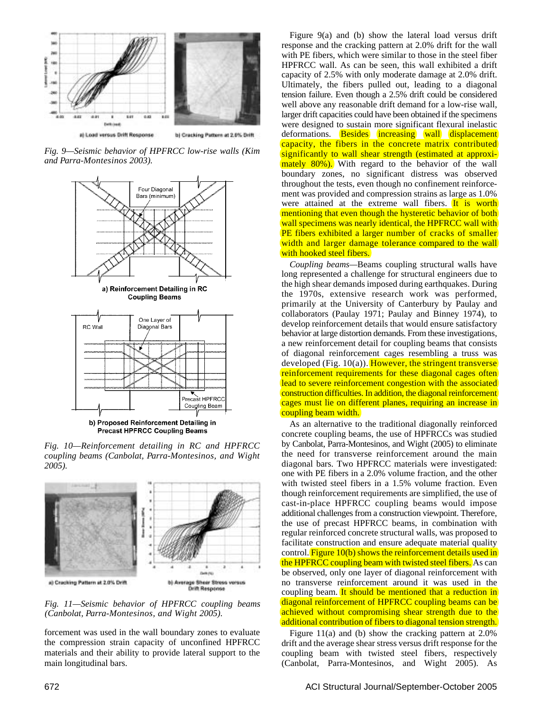

*Fig. 9—Seismic behavior of HPFRCC low-rise walls (Kim and Parra-Montesinos 2003).*



*Fig. 10—Reinforcement detailing in RC and HPFRCC coupling beams (Canbolat, Parra-Montesinos, and Wight 2005).*



*Fig. 11—Seismic behavior of HPFRCC coupling beams (Canbolat, Parra-Montesinos, and Wight 2005).*

forcement was used in the wall boundary zones to evaluate the compression strain capacity of unconfined HPFRCC materials and their ability to provide lateral support to the main longitudinal bars.

Figure 9(a) and (b) show the lateral load versus drift response and the cracking pattern at 2.0% drift for the wall with PE fibers, which were similar to those in the steel fiber HPFRCC wall. As can be seen, this wall exhibited a drift capacity of 2.5% with only moderate damage at 2.0% drift. Ultimately, the fibers pulled out, leading to a diagonal tension failure. Even though a 2.5% drift could be considered well above any reasonable drift demand for a low-rise wall, larger drift capacities could have been obtained if the specimens were designed to sustain more significant flexural inelastic deformations. **Besides** increasing wall displacement capacity, the fibers in the concrete matrix contributed significantly to wall shear strength (estimated at approximately 80%). With regard to the behavior of the wall boundary zones, no significant distress was observed throughout the tests, even though no confinement reinforcement was provided and compression strains as large as 1.0% were attained at the extreme wall fibers. It is worth mentioning that even though the hysteretic behavior of both wall specimens was nearly identical, the HPFRCC wall with PE fibers exhibited a larger number of cracks of smaller width and larger damage tolerance compared to the wall with hooked steel fibers.

*Coupling beams—*Beams coupling structural walls have long represented a challenge for structural engineers due to the high shear demands imposed during earthquakes. During the 1970s, extensive research work was performed, primarily at the University of Canterbury by Paulay and collaborators (Paulay 1971; Paulay and Binney 1974), to develop reinforcement details that would ensure satisfactory behavior at large distortion demands. From these investigations, a new reinforcement detail for coupling beams that consists of diagonal reinforcement cages resembling a truss was developed (Fig.  $10(a)$ ). However, the stringent transverse reinforcement requirements for these diagonal cages often lead to severe reinforcement congestion with the associated construction difficulties. In addition, the diagonal reinforcement cages must lie on different planes, requiring an increase in coupling beam width.

As an alternative to the traditional diagonally reinforced concrete coupling beams, the use of HPFRCCs was studied by Canbolat, Parra-Montesinos, and Wight (2005) to eliminate the need for transverse reinforcement around the main diagonal bars. Two HPFRCC materials were investigated: one with PE fibers in a 2.0% volume fraction, and the other with twisted steel fibers in a 1.5% volume fraction. Even though reinforcement requirements are simplified, the use of cast-in-place HPFRCC coupling beams would impose additional challenges from a construction viewpoint. Therefore, the use of precast HPFRCC beams, in combination with regular reinforced concrete structural walls, was proposed to facilitate construction and ensure adequate material quality control. Figure 10(b) shows the reinforcement details used in the HPFRCC coupling beam with twisted steel fibers. As can be observed, only one layer of diagonal reinforcement with no transverse reinforcement around it was used in the coupling beam. It should be mentioned that a reduction in diagonal reinforcement of HPFRCC coupling beams can be achieved without compromising shear strength due to the additional contribution of fibers to diagonal tension strength.

Figure 11(a) and (b) show the cracking pattern at 2.0% drift and the average shear stress versus drift response for the coupling beam with twisted steel fibers, respectively (Canbolat, Parra-Montesinos, and Wight 2005). As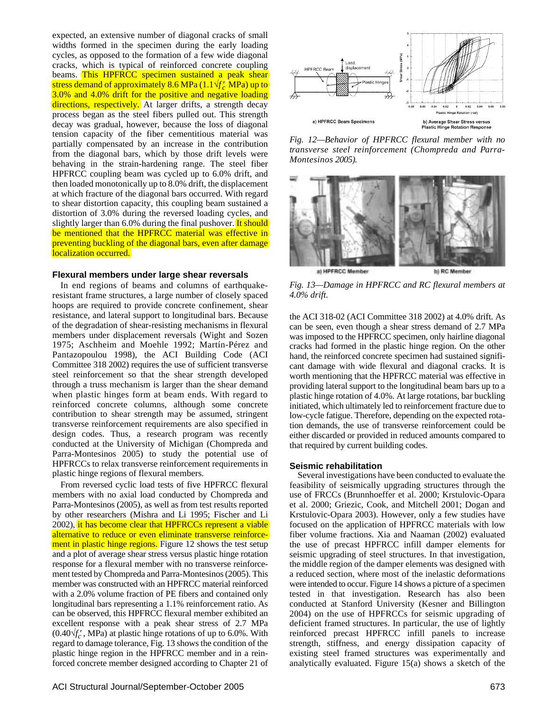expected, an extensive number of diagonal cracks of small widths formed in the specimen during the early loading cycles, as opposed to the formation of a few wide diagonal cracks, which is typical of reinforced concrete coupling beams. This HPFRCC specimen sustained a peak shear stress demand of approximately 8.6 MPa (1.1√*f* ′ *<sup>c</sup>* MPa) up to 3.0% and 4.0% drift for the positive and negative loading directions, respectively. At larger drifts, a strength decay process began as the steel fibers pulled out. This strength decay was gradual, however, because the loss of diagonal tension capacity of the fiber cementitious material was partially compensated by an increase in the contribution from the diagonal bars, which by those drift levels were behaving in the strain-hardening range. The steel fiber HPFRCC coupling beam was cycled up to 6.0% drift, and then loaded monotonically up to 8.0% drift, the displacement at which fracture of the diagonal bars occurred. With regard to shear distortion capacity, this coupling beam sustained a distortion of 3.0% during the reversed loading cycles, and slightly larger than 6.0% during the final pushover. It should be mentioned that the HPFRCC material was effective in preventing buckling of the diagonal bars, even after damage localization occurred.

### **Flexural members under large shear reversals**

In end regions of beams and columns of earthquakeresistant frame structures, a large number of closely spaced hoops are required to provide concrete confinement, shear resistance, and lateral support to longitudinal bars. Because of the degradation of shear-resisting mechanisms in flexural members under displacement reversals (Wight and Sozen 1975; Aschheim and Moehle 1992; Martín-Pérez and Pantazopoulou 1998), the ACI Building Code (ACI Committee 318 2002) requires the use of sufficient transverse steel reinforcement so that the shear strength developed through a truss mechanism is larger than the shear demand when plastic hinges form at beam ends. With regard to reinforced concrete columns, although some concrete contribution to shear strength may be assumed, stringent transverse reinforcement requirements are also specified in design codes. Thus, a research program was recently conducted at the University of Michigan (Chompreda and Parra-Montesinos 2005) to study the potential use of HPFRCCs to relax transverse reinforcement requirements in plastic hinge regions of flexural members.

From reversed cyclic load tests of five HPFRCC flexural members with no axial load conducted by Chompreda and Parra-Montesinos (2005), as well as from test results reported by other researchers (Mishra and Li 1995; Fischer and Li 2002), it has become clear that HPFRCCs represent a viable alternative to reduce or even eliminate transverse reinforcement in plastic hinge regions. Figure 12 shows the test setup and a plot of average shear stress versus plastic hinge rotation response for a flexural member with no transverse reinforcement tested by Chompreda and Parra-Montesinos (2005). This member was constructed with an HPFRCC material reinforced with a 2.0% volume fraction of PE fibers and contained only longitudinal bars representing a 1.1% reinforcement ratio. As can be observed, this HPFRCC flexural member exhibited an excellent response with a peak shear stress of 2.7 MPa  $(0.40\sqrt{f'_c}$ , MPa) at plastic hinge rotations of up to 6.0%. With regard to damage tolerance, Fig. 13 shows the condition of the plastic hinge region in the HPFRCC member and in a reinforced concrete member designed according to Chapter 21 of



*Fig. 12—Behavior of HPFRCC flexural member with no transverse steel reinforcement (Chompreda and Parra-Montesinos 2005).*



*Fig. 13—Damage in HPFRCC and RC flexural members at 4.0% drift.*

the ACI 318-02 (ACI Committee 318 2002) at 4.0% drift. As can be seen, even though a shear stress demand of 2.7 MPa was imposed to the HPFRCC specimen, only hairline diagonal cracks had formed in the plastic hinge region. On the other hand, the reinforced concrete specimen had sustained significant damage with wide flexural and diagonal cracks. It is worth mentioning that the HPFRCC material was effective in providing lateral support to the longitudinal beam bars up to a plastic hinge rotation of 4.0%. At large rotations, bar buckling initiated, which ultimately led to reinforcement fracture due to low-cycle fatigue. Therefore, depending on the expected rotation demands, the use of transverse reinforcement could be either discarded or provided in reduced amounts compared to that required by current building codes.

# **Seismic rehabilitation**

Several investigations have been conducted to evaluate the feasibility of seismically upgrading structures through the use of FRCCs (Brunnhoeffer et al. 2000; Krstulovic-Opara et al. 2000; Griezic, Cook, and Mitchell 2001; Dogan and Krstulovic-Opara 2003). However, only a few studies have focused on the application of HPFRCC materials with low fiber volume fractions. Xia and Naaman (2002) evaluated the use of precast HPFRCC infill damper elements for seismic upgrading of steel structures. In that investigation, the middle region of the damper elements was designed with a reduced section, where most of the inelastic deformations were intended to occur. Figure 14 shows a picture of a specimen tested in that investigation. Research has also been conducted at Stanford University (Kesner and Billington 2004) on the use of HPFRCCs for seismic upgrading of deficient framed structures. In particular, the use of lightly reinforced precast HPFRCC infill panels to increase strength, stiffness, and energy dissipation capacity of existing steel framed structures was experimentally and analytically evaluated. Figure 15(a) shows a sketch of the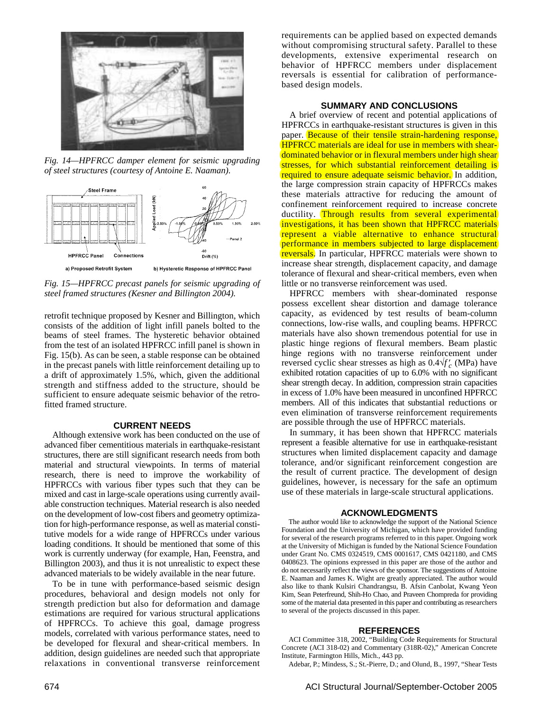

*Fig. 14—HPFRCC damper element for seismic upgrading of steel structures (courtesy of Antoine E. Naaman).*



*Fig. 15—HPFRCC precast panels for seismic upgrading of steel framed structures (Kesner and Billington 2004).*

retrofit technique proposed by Kesner and Billington, which consists of the addition of light infill panels bolted to the beams of steel frames. The hysteretic behavior obtained from the test of an isolated HPFRCC infill panel is shown in Fig. 15(b). As can be seen, a stable response can be obtained in the precast panels with little reinforcement detailing up to a drift of approximately 1.5%, which, given the additional strength and stiffness added to the structure, should be sufficient to ensure adequate seismic behavior of the retrofitted framed structure.

#### **CURRENT NEEDS**

Although extensive work has been conducted on the use of advanced fiber cementitious materials in earthquake-resistant structures, there are still significant research needs from both material and structural viewpoints. In terms of material research, there is need to improve the workability of HPFRCCs with various fiber types such that they can be mixed and cast in large-scale operations using currently available construction techniques. Material research is also needed on the development of low-cost fibers and geometry optimization for high-performance response, as well as material constitutive models for a wide range of HPFRCCs under various loading conditions. It should be mentioned that some of this work is currently underway (for example, Han, Feenstra, and Billington 2003), and thus it is not unrealistic to expect these advanced materials to be widely available in the near future.

To be in tune with performance-based seismic design procedures, behavioral and design models not only for strength prediction but also for deformation and damage estimations are required for various structural applications of HPFRCCs. To achieve this goal, damage progress models, correlated with various performance states, need to be developed for flexural and shear-critical members. In addition, design guidelines are needed such that appropriate relaxations in conventional transverse reinforcement requirements can be applied based on expected demands without compromising structural safety. Parallel to these developments, extensive experimental research on behavior of HPFRCC members under displacement reversals is essential for calibration of performancebased design models.

## **SUMMARY AND CONCLUSIONS**

A brief overview of recent and potential applications of HPFRCCs in earthquake-resistant structures is given in this paper. Because of their tensile strain-hardening response, HPFRCC materials are ideal for use in members with sheardominated behavior or in flexural members under high shear stresses, for which substantial reinforcement detailing is required to ensure adequate seismic behavior. In addition, the large compression strain capacity of HPFRCCs makes these materials attractive for reducing the amount of confinement reinforcement required to increase concrete ductility. Through results from several experimental investigations, it has been shown that HPFRCC materials represent a viable alternative to enhance structural performance in members subjected to large displacement reversals. In particular, HPFRCC materials were shown to increase shear strength, displacement capacity, and damage tolerance of flexural and shear-critical members, even when little or no transverse reinforcement was used.

HPFRCC members with shear-dominated response possess excellent shear distortion and damage tolerance capacity, as evidenced by test results of beam-column connections, low-rise walls, and coupling beams. HPFRCC materials have also shown tremendous potential for use in plastic hinge regions of flexural members. Beam plastic hinge regions with no transverse reinforcement under reversed cyclic shear stresses as high as  $0.4\sqrt{f'_c}$  (MPa) have exhibited rotation capacities of up to 6.0% with no significant shear strength decay. In addition, compression strain capacities in excess of 1.0% have been measured in unconfined HPFRCC members. All of this indicates that substantial reductions or even elimination of transverse reinforcement requirements are possible through the use of HPFRCC materials.

In summary, it has been shown that HPFRCC materials represent a feasible alternative for use in earthquake-resistant structures when limited displacement capacity and damage tolerance, and/or significant reinforcement congestion are the result of current practice. The development of design guidelines, however, is necessary for the safe an optimum use of these materials in large-scale structural applications.

#### **ACKNOWLEDGMENTS**

The author would like to acknowledge the support of the National Science Foundation and the University of Michigan, which have provided funding for several of the research programs referred to in this paper. Ongoing work at the University of Michigan is funded by the National Science Foundation under Grant No. CMS 0324519, CMS 0001617, CMS 0421180, and CMS 0408623. The opinions expressed in this paper are those of the author and do not necessarily reflect the views of the sponsor. The suggestions of Antoine E. Naaman and James K. Wight are greatly appreciated. The author would also like to thank Kulsiri Chandrangsu, B. Afsin Canbolat, Kwang Yeon Kim, Sean Peterfreund, Shih-Ho Chao, and Praveen Chompreda for providing some of the material data presented in this paper and contributing as researchers to several of the projects discussed in this paper.

#### **REFERENCES**

ACI Committee 318, 2002, "Building Code Requirements for Structural Concrete (ACI 318-02) and Commentary (318R-02)," American Concrete Institute, Farmington Hills, Mich., 443 pp.

Adebar, P.; Mindess, S.; St.-Pierre, D.; and Olund, B., 1997, "Shear Tests